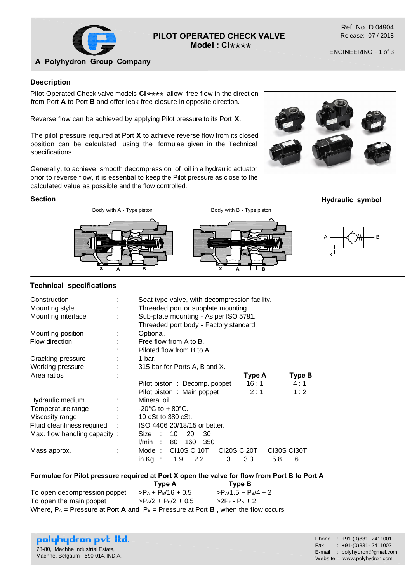

# **PILOT OPERATED CHECK VALVE** \*\*\*\* **Model : CI**

Ref. No. D 04904 Release: 07 / 2018

ENGINEERING - 1 of 3

## **A Polyhydron Group Company**

#### **Description**

Pilot Operated Check valve models  $CI****$  allow free flow in the direction from Part A to Part **P** and offer leak free electric in appealized irrestion from Port **A** to Port **B** and offer leak free closure in opposite direction.

Reverse flow can be achieved by applying Pilot pressure to its Port **X**.

The pilot pressure required at Port **X** to achieve reverse flow from its closed position can be calculated using the formulae given in the Technical specifications.

Generally, to achieve smooth decompression of oil in a hydraulic actuator prior to reverse flow, it is essential to keep the Pilot pressure as close to the calculated value as possible and the flow controlled.

#### **Section**



#### **Technical specifications**

| Construction<br>Mounting style<br>Mounting interface |           | Seat type valve, with decompression facility.<br>Threaded port or subplate mounting.<br>Sub-plate mounting - As per ISO 5781.<br>Threaded port body - Factory standard. |                         |  |  |  |  |  |  |  |  |
|------------------------------------------------------|-----------|-------------------------------------------------------------------------------------------------------------------------------------------------------------------------|-------------------------|--|--|--|--|--|--|--|--|
| Mounting position                                    | Optional. |                                                                                                                                                                         |                         |  |  |  |  |  |  |  |  |
| Flow direction                                       |           | Free flow from A to B.                                                                                                                                                  |                         |  |  |  |  |  |  |  |  |
|                                                      |           | Piloted flow from B to A.                                                                                                                                               |                         |  |  |  |  |  |  |  |  |
| Cracking pressure                                    |           | 1 bar.                                                                                                                                                                  |                         |  |  |  |  |  |  |  |  |
| Working pressure                                     |           | 315 bar for Ports A, B and X.                                                                                                                                           |                         |  |  |  |  |  |  |  |  |
| Area ratios                                          |           | Type A                                                                                                                                                                  | Type B                  |  |  |  |  |  |  |  |  |
|                                                      |           | 16:1<br>Pilot piston: Decomp. poppet                                                                                                                                    | 4:1                     |  |  |  |  |  |  |  |  |
|                                                      |           | Pilot piston: Main poppet<br>2:1                                                                                                                                        | 1:2                     |  |  |  |  |  |  |  |  |
| Hydraulic medium                                     | ÷         | Mineral oil.                                                                                                                                                            |                         |  |  |  |  |  |  |  |  |
| Temperature range                                    |           | $-20^{\circ}$ C to + 80 $^{\circ}$ C.                                                                                                                                   |                         |  |  |  |  |  |  |  |  |
| Viscosity range                                      |           | 10 cSt to 380 cSt.                                                                                                                                                      |                         |  |  |  |  |  |  |  |  |
| Fluid cleanliness required                           |           | ISO 4406 20/18/15 or better.                                                                                                                                            |                         |  |  |  |  |  |  |  |  |
| Max. flow handling capacity:                         |           | 10<br>Size<br>20<br>30<br>80<br>160<br>l/min<br>350<br>г.                                                                                                               |                         |  |  |  |  |  |  |  |  |
| Mass approx.                                         |           | CI10S CI10T<br>Model:<br>CI20S CI20T<br>3<br>in Ka $\;$ :<br>1.9<br>$2.2^{\circ}$<br>3.3<br>5.8                                                                         | <b>CI30S CI30T</b><br>6 |  |  |  |  |  |  |  |  |

#### **Formulae for Pilot pressure required at Port X open the valve for flow from Port B to Port A**

 **Type A Type B** To open decompression poppet  $\Rightarrow P_A + P_B/16 + 0.5$   $\Rightarrow P_A/1.5 + P_B/4 + 2$ To open the main poppet  $>P_A/2 + P_B/2 + 0.5$   $>2P_B - P_A + 2$ Where,  $P_A$  = Pressure at Port **A** and  $P_B$  = Pressure at Port **B**, when the flow occurs.

|  |                                  | polyhydron pvt. Itd.              |  |
|--|----------------------------------|-----------------------------------|--|
|  | 78-80, Machhe Industrial Estate, |                                   |  |
|  |                                  | Machhe, Belgaum - 590 014. INDIA. |  |

Phone : +91-(0)831- 2411001 Fax :  $+91-(0)831-2411002$ E-mail : polyhydron@gmail.com Website : www.polyhydron.com

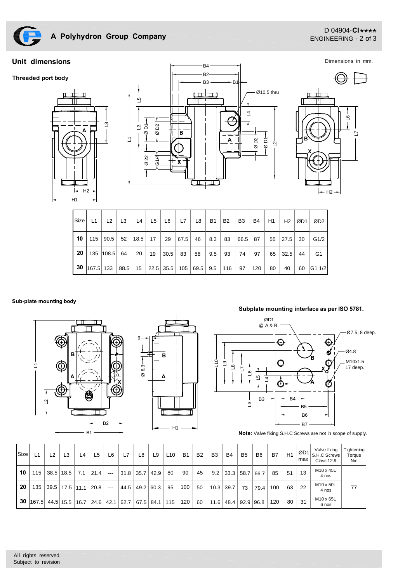

### D 04904-**CI** \*\*\*\*<br>CNCINEFRING 2 of 2 ENGINEERING - 2 of 3

Dimensions in mm.

### **Unit dimensions**







| l Size I | L1                                               | L <sub>2</sub> | L3 | L4 | L5                          | L6   | L7   | L8  | <b>B1</b> | <b>B2</b> | B <sub>3</sub> | <b>B4</b> | H1 | H2   | ØD1 | ØD <sub>2</sub> |
|----------|--------------------------------------------------|----------------|----|----|-----------------------------|------|------|-----|-----------|-----------|----------------|-----------|----|------|-----|-----------------|
| 10       |                                                  |                |    |    | 115   90.5   52   18.5   17 | 29   | 67.5 | 46  | 8.3       | 83        | 66.5 87        |           | 55 | 27.5 | 30  | G1/2            |
| 20       |                                                  | 135   108.5    | 64 | 20 | 19                          | 30.5 | - 83 | -58 | 9.5       | 93        | -74            | 97        | 65 | 32.5 | 44  | - G1            |
| -30      | $ 167.5 133 88.5 15 22.5 35.5 105 69.5 9.5 116 $ |                |    |    |                             |      |      |     |           |           | 97             | 120       | 80 | 40   | 60  | G1 1/2          |

#### **Sub-plate mounting body**





#### **Subplate mounting interface as per ISO 5781.**



**Note:** Valve fixing S.H.C Screws are not in scope of supply.

| <b>Size</b> | 1ء    | L2 | L3                                | 4ء   | 5ء                   | L6    | L7   | L8   | L9   | L <sub>10</sub> | <b>B1</b> | B <sub>2</sub> | B <sub>3</sub> | <b>B4</b> | B <sub>5</sub> | B <sub>6</sub> | B7  | H1 | ØD1<br>max | Valve fixing<br>S.H.C Screws<br><b>Class 12.9</b> | Tightening<br>Torque<br>N <sub>m</sub> |
|-------------|-------|----|-----------------------------------|------|----------------------|-------|------|------|------|-----------------|-----------|----------------|----------------|-----------|----------------|----------------|-----|----|------------|---------------------------------------------------|----------------------------------------|
| 10          | 115   |    | $38.5$   18.5                     | 7.1  | 21.4                 | $---$ | 31.8 | 35.7 | 42.9 | 80              | 90        | 45             | 9.2            | 33.3      | 58.7           | 66.7           | 85  | 51 | 13         | M <sub>10</sub> x 45L<br>4 nos                    |                                        |
| 20          | 135   |    | $\vert$ 39.5 $\vert$ 17.5 $\vert$ | 11.1 | 20.8                 | $---$ | 44.5 | 49.2 | 60.3 | 95              | 100       | 50             | 10.3           | 39.7      | 73             | 79.4           | 100 | 63 | 22         | M10 x 50L<br>4 nos                                | 77                                     |
| 30          | 167.5 |    | $44.5 $ 15.5                      | 16.7 | $\vert$ 24.6 $\vert$ | 42.1  | 62.7 | 67.5 | 84.1 | 115             | 120       | 60             | 11.6           | 48.4      | 92.9           | 96.8           | 120 | 80 | 31         | M10 x 65L<br>6 nos                                |                                        |